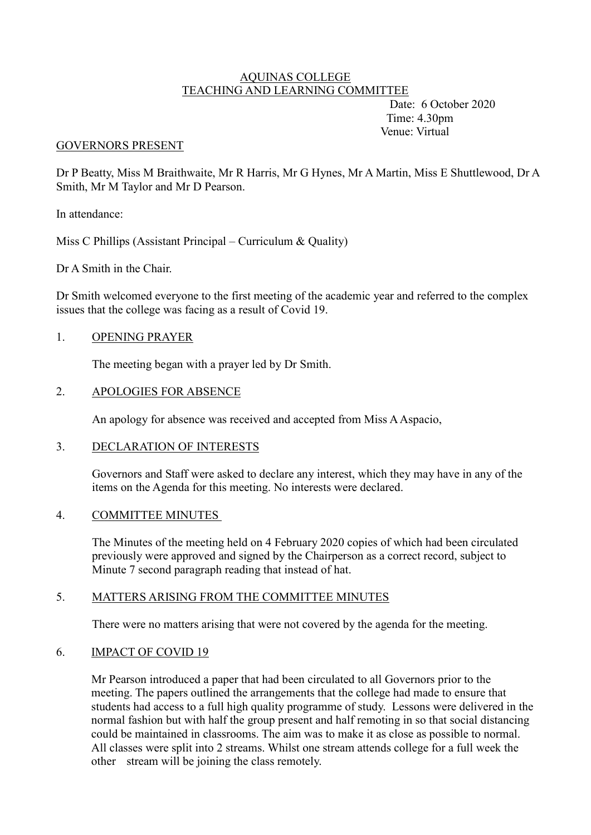#### AQUINAS COLLEGE TEACHING AND LEARNING COMMITTEE

 Date: 6 October 2020 Time: 4.30pm Venue: Virtual

### GOVERNORS PRESENT

Dr P Beatty, Miss M Braithwaite, Mr R Harris, Mr G Hynes, Mr A Martin, Miss E Shuttlewood, Dr A Smith, Mr M Taylor and Mr D Pearson.

In attendance:

Miss C Phillips (Assistant Principal – Curriculum & Quality)

Dr A Smith in the Chair.

Dr Smith welcomed everyone to the first meeting of the academic year and referred to the complex issues that the college was facing as a result of Covid 19.

### 1. OPENING PRAYER

The meeting began with a prayer led by Dr Smith.

### 2. APOLOGIES FOR ABSENCE

An apology for absence was received and accepted from Miss A Aspacio,

### 3. DECLARATION OF INTERESTS

Governors and Staff were asked to declare any interest, which they may have in any of the items on the Agenda for this meeting. No interests were declared.

### 4. COMMITTEE MINUTES

The Minutes of the meeting held on 4 February 2020 copies of which had been circulated previously were approved and signed by the Chairperson as a correct record, subject to Minute 7 second paragraph reading that instead of hat.

## 5. MATTERS ARISING FROM THE COMMITTEE MINUTES

There were no matters arising that were not covered by the agenda for the meeting.

### 6. IMPACT OF COVID 19

Mr Pearson introduced a paper that had been circulated to all Governors prior to the meeting. The papers outlined the arrangements that the college had made to ensure that students had access to a full high quality programme of study. Lessons were delivered in the normal fashion but with half the group present and half remoting in so that social distancing could be maintained in classrooms. The aim was to make it as close as possible to normal. All classes were split into 2 streams. Whilst one stream attends college for a full week the other stream will be joining the class remotely.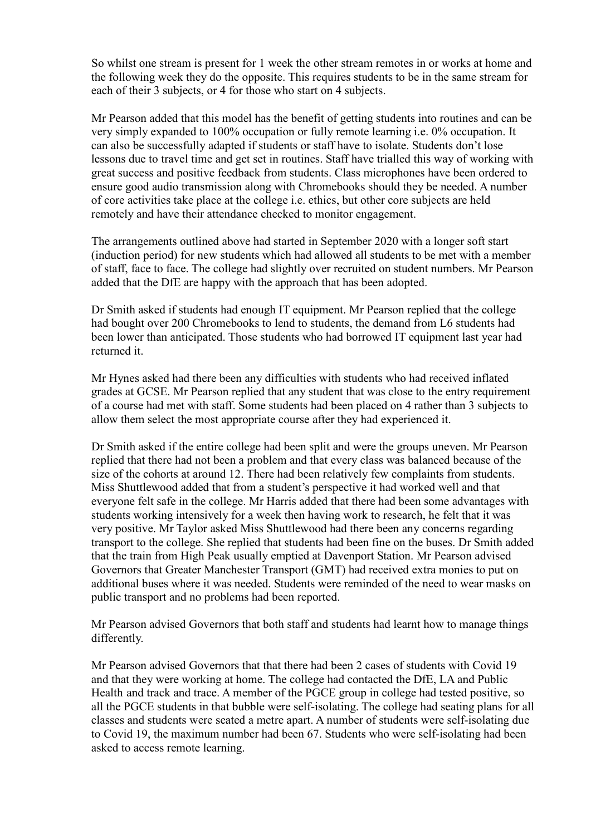So whilst one stream is present for 1 week the other stream remotes in or works at home and the following week they do the opposite. This requires students to be in the same stream for each of their 3 subjects, or 4 for those who start on 4 subjects.

Mr Pearson added that this model has the benefit of getting students into routines and can be very simply expanded to 100% occupation or fully remote learning i.e. 0% occupation. It can also be successfully adapted if students or staff have to isolate. Students don't lose lessons due to travel time and get set in routines. Staff have trialled this way of working with great success and positive feedback from students. Class microphones have been ordered to ensure good audio transmission along with Chromebooks should they be needed. A number of core activities take place at the college i.e. ethics, but other core subjects are held remotely and have their attendance checked to monitor engagement.

The arrangements outlined above had started in September 2020 with a longer soft start (induction period) for new students which had allowed all students to be met with a member of staff, face to face. The college had slightly over recruited on student numbers. Mr Pearson added that the DfE are happy with the approach that has been adopted.

Dr Smith asked if students had enough IT equipment. Mr Pearson replied that the college had bought over 200 Chromebooks to lend to students, the demand from L6 students had been lower than anticipated. Those students who had borrowed IT equipment last year had returned it.

Mr Hynes asked had there been any difficulties with students who had received inflated grades at GCSE. Mr Pearson replied that any student that was close to the entry requirement of a course had met with staff. Some students had been placed on 4 rather than 3 subjects to allow them select the most appropriate course after they had experienced it.

Dr Smith asked if the entire college had been split and were the groups uneven. Mr Pearson replied that there had not been a problem and that every class was balanced because of the size of the cohorts at around 12. There had been relatively few complaints from students. Miss Shuttlewood added that from a student's perspective it had worked well and that everyone felt safe in the college. Mr Harris added that there had been some advantages with students working intensively for a week then having work to research, he felt that it was very positive. Mr Taylor asked Miss Shuttlewood had there been any concerns regarding transport to the college. She replied that students had been fine on the buses. Dr Smith added that the train from High Peak usually emptied at Davenport Station. Mr Pearson advised Governors that Greater Manchester Transport (GMT) had received extra monies to put on additional buses where it was needed. Students were reminded of the need to wear masks on public transport and no problems had been reported.

Mr Pearson advised Governors that both staff and students had learnt how to manage things differently.

Mr Pearson advised Governors that that there had been 2 cases of students with Covid 19 and that they were working at home. The college had contacted the DfE, LA and Public Health and track and trace. A member of the PGCE group in college had tested positive, so all the PGCE students in that bubble were self-isolating. The college had seating plans for all classes and students were seated a metre apart. A number of students were self-isolating due to Covid 19, the maximum number had been 67. Students who were self-isolating had been asked to access remote learning.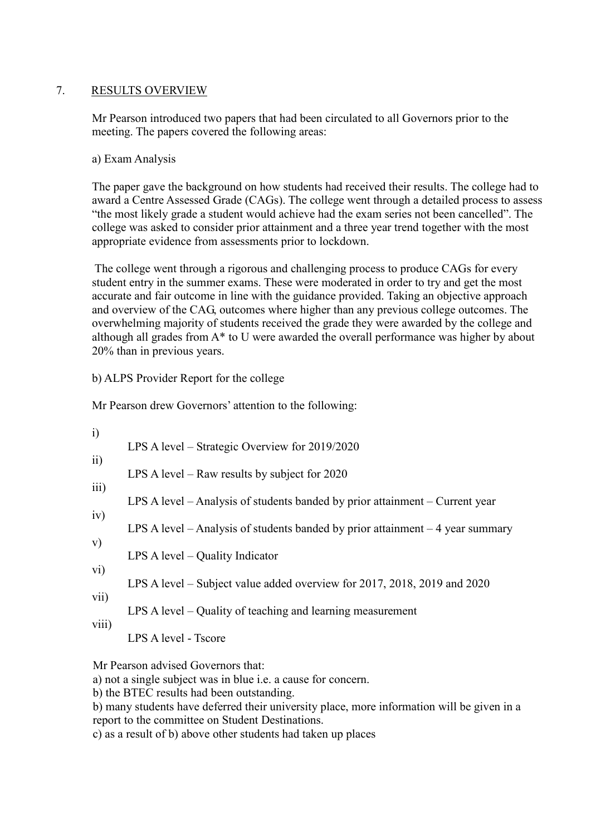# 7. RESULTS OVERVIEW

Mr Pearson introduced two papers that had been circulated to all Governors prior to the meeting. The papers covered the following areas:

## a) Exam Analysis

The paper gave the background on how students had received their results. The college had to award a Centre Assessed Grade (CAGs). The college went through a detailed process to assess "the most likely grade a student would achieve had the exam series not been cancelled". The college was asked to consider prior attainment and a three year trend together with the most appropriate evidence from assessments prior to lockdown.

The college went through a rigorous and challenging process to produce CAGs for every student entry in the summer exams. These were moderated in order to try and get the most accurate and fair outcome in line with the guidance provided. Taking an objective approach and overview of the CAG, outcomes where higher than any previous college outcomes. The overwhelming majority of students received the grade they were awarded by the college and although all grades from A\* to U were awarded the overall performance was higher by about 20% than in previous years.

b) ALPS Provider Report for the college

Mr Pearson drew Governors' attention to the following:

| $\mathbf{i}$ | LPS A level – Strategic Overview for 2019/2020                                   |
|--------------|----------------------------------------------------------------------------------|
| ii)          | LPS A level – Raw results by subject for $2020$                                  |
| iii)         | LPS A level $-$ Analysis of students banded by prior attainment $-$ Current year |
| iv)          | LPS A level – Analysis of students banded by prior attainment $-4$ year summary  |
| V)           | LPS A level $-$ Quality Indicator                                                |
| vi)<br>vii)  | LPS A level – Subject value added overview for 2017, 2018, 2019 and 2020         |
| viii)        | LPS A level – Quality of teaching and learning measurement                       |
|              | LPS A level - Tscore                                                             |
|              |                                                                                  |

Mr Pearson advised Governors that:

a) not a single subject was in blue i.e. a cause for concern.

b) the BTEC results had been outstanding.

b) many students have deferred their university place, more information will be given in a report to the committee on Student Destinations.

c) as a result of b) above other students had taken up places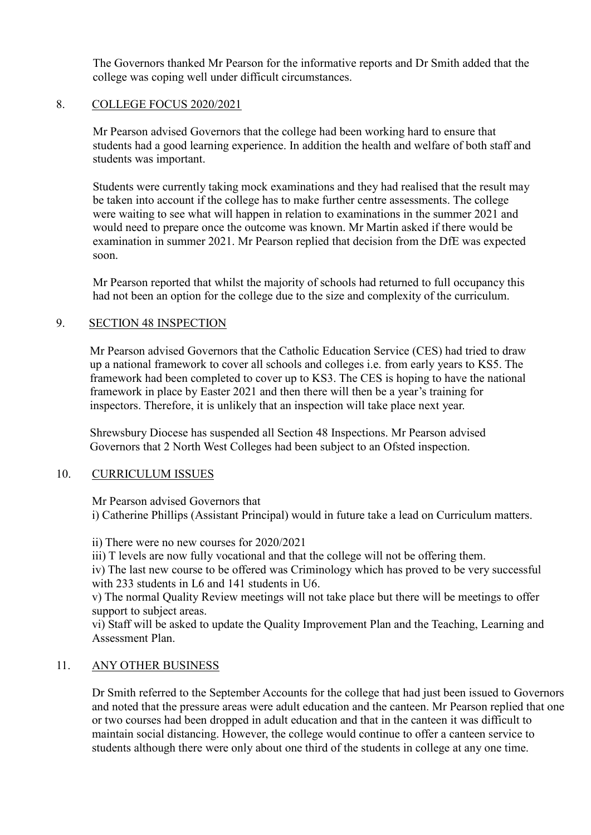The Governors thanked Mr Pearson for the informative reports and Dr Smith added that the college was coping well under difficult circumstances.

### 8. COLLEGE FOCUS 2020/2021

Mr Pearson advised Governors that the college had been working hard to ensure that students had a good learning experience. In addition the health and welfare of both staff and students was important.

Students were currently taking mock examinations and they had realised that the result may be taken into account if the college has to make further centre assessments. The college were waiting to see what will happen in relation to examinations in the summer 2021 and would need to prepare once the outcome was known. Mr Martin asked if there would be examination in summer 2021. Mr Pearson replied that decision from the DfE was expected soon.

Mr Pearson reported that whilst the majority of schools had returned to full occupancy this had not been an option for the college due to the size and complexity of the curriculum.

## 9. SECTION 48 INSPECTION

Mr Pearson advised Governors that the Catholic Education Service (CES) had tried to draw up a national framework to cover all schools and colleges i.e. from early years to KS5. The framework had been completed to cover up to KS3. The CES is hoping to have the national framework in place by Easter 2021 and then there will then be a year's training for inspectors. Therefore, it is unlikely that an inspection will take place next year.

Shrewsbury Diocese has suspended all Section 48 Inspections. Mr Pearson advised Governors that 2 North West Colleges had been subject to an Ofsted inspection.

### 10. CURRICULUM ISSUES

Mr Pearson advised Governors that

i) Catherine Phillips (Assistant Principal) would in future take a lead on Curriculum matters.

ii) There were no new courses for 2020/2021

iii) T levels are now fully vocational and that the college will not be offering them.

iv) The last new course to be offered was Criminology which has proved to be very successful with 233 students in L6 and 141 students in U6.

v) The normal Quality Review meetings will not take place but there will be meetings to offer support to subject areas.

 vi) Staff will be asked to update the Quality Improvement Plan and the Teaching, Learning and Assessment Plan.

## 11. ANY OTHER BUSINESS

Dr Smith referred to the September Accounts for the college that had just been issued to Governors and noted that the pressure areas were adult education and the canteen. Mr Pearson replied that one or two courses had been dropped in adult education and that in the canteen it was difficult to maintain social distancing. However, the college would continue to offer a canteen service to students although there were only about one third of the students in college at any one time.